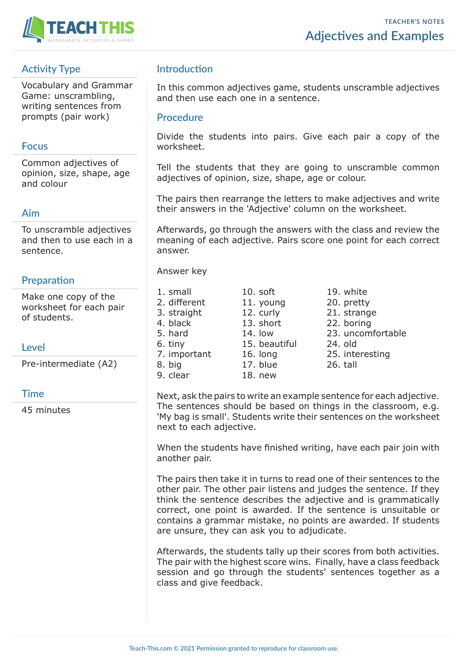

# **Activity Type**

Vocabulary and Grammar Game: unscrambling, writing sentences from prompts (pair work)

### **Focus**

Common adjectives of opinion, size, shape, age and colour

### **Aim**

To unscramble adjectives and then to use each in a sentence.

### **Preparation**

Make one copy of the worksheet for each pair of students.

**Level**

Pre-intermediate (A2)

### **Time**

45 minutes

## **Introduction**

In this common adjectives game, students unscramble adjectives and then use each one in a sentence.

#### **Procedure**

Divide the students into pairs. Give each pair a copy of the worksheet.

Tell the students that they are going to unscramble common adjectives of opinion, size, shape, age or colour.

The pairs then rearrange the letters to make adjectives and write their answers in the 'Adjective' column on the worksheet.

Afterwards, go through the answers with the class and review the meaning of each adjective. Pairs score one point for each correct answer.

Answer key

- 2. different 11. young 20. pretty 3. straight 12. curly 21. strange 4. black 13. short 22. boring 6. tiny 15. beautiful 24. old 8. big 17. blue 26. tall
- 1. small 10. soft 19. white 9. clear 18. new
- 5. hard 14. low 23. uncomfortable 7. important 16. long 25. interesting

Next, ask the pairs to write an example sentence for each adjective. The sentences should be based on things in the classroom, e.g. 'My bag is small'. Students write their sentences on the worksheet next to each adjective.

When the students have finished writing, have each pair join with another pair.

The pairs then take it in turns to read one of their sentences to the other pair. The other pair listens and judges the sentence. If they think the sentence describes the adjective and is grammatically correct, one point is awarded. If the sentence is unsuitable or contains a grammar mistake, no points are awarded. If students are unsure, they can ask you to adjudicate.

Afterwards, the students tally up their scores from both activities. The pair with the highest score wins. Finally, have a class feedback session and go through the students' sentences together as a class and give feedback.